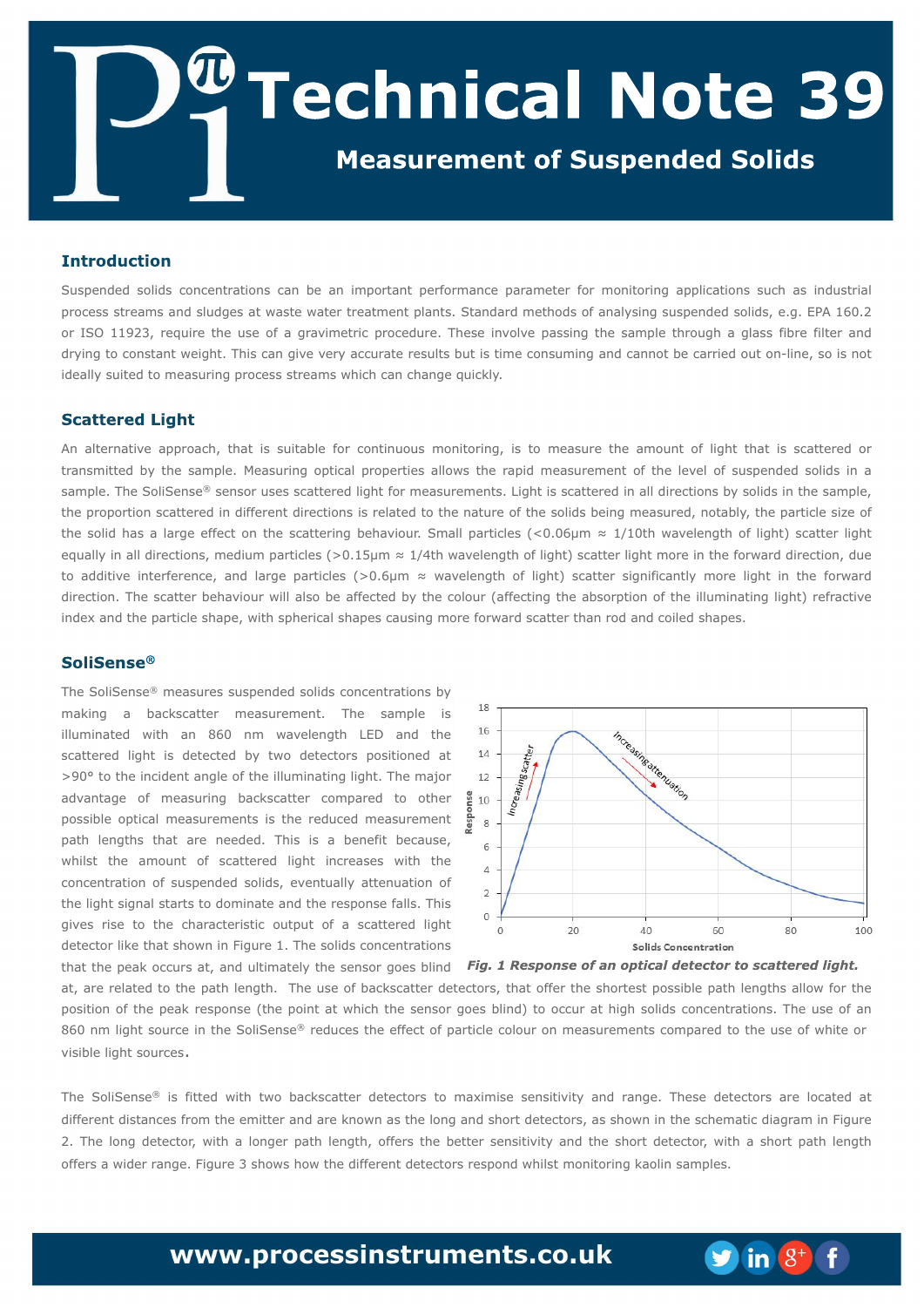Tvtqfoefe tprjet dpodfousbujpot dbo cf bo jn qpsubou qfsgosn bodf qbsbn fufs gos n pojupsjoh bqqrjudbujpot tvdi bt joevtusjbm qspdftt tusfbnt boe tmaehft buxbtuf xbufs usfbun fou qmbout/ Tuboebsen fuipet pgbobmatjoh tvtqfoefe tpmjet-f/h/FCB 271/3 ps JTP 22:34-sfrvjsf uif vtf pg b hsbwjn fusjd qspdfevsf/Uiftf jowpmwf qbttjoh uif tbn qmf uispvhi b hmbtt gcsf gmdfs boe eszjoh up dpotubouxfjhi u' Ui jt dbo hjwf wfsz bddvsbuf sftvmt cvu jt ujn f dpotvn joh boe dboopucf dbssjfe pvu po. mjof - tp jt opu jef bma tvjufe up n f btvsjoh gspdftt tusf bn txijdi dbo di bohf rvjdl ma/

Bo braf sobujwf bqqspbdi - u bu jt tvjubcrh gos dpoujovpvt n pojupsjoh- jt up n f btvsf uif bn pvou pg rjhi u ui bu jt tdbuufsfe ps usbotnjufe cz uif tbn qm/ Nfbtvsjoh pqujdbmqspqfsujft bmpxt uif sbqjenfbtvsfnfou pguif mwfmpgtvtqfoefe tpmjet job tbn qm/ Uif TpmTf otf<sup>cE</sup>tf otps vtft tdbuufsfe minium os nfbt vsfnfout/Mhiujt tdbuufsfe jo bmmejsfdujpot cztpmet jo uif tbn qmuif qspqpsujpo tdbuufsfe jo ejgfsfou ejsfdujpot jt sfrbufe up uif obuvsf pguif tprjet cfjohnfbtvsfe-opubcra-uif qbsujdrhtj{f pg uif tprje ibt brbshf fogfdupo uif tdbuufsjoh cfibwjpvs/Tnbmmqbsujdrht )=1/17"n I 2021 ui xbwfrhohui pgrjhiu\*tdbuufs rjhiu frvbma jo bmejsf dujpot-n fejvn qbsujdrht)? 1/26" n l 205 u x bwf rhohui pgrjhi u\*t dbut s rjhi un psf jo u f gosx bse ejsf dujpo-evf up beejujwf joufsgfsfodf-boe mbshf qbsujdmft )?1/7"n I xbwfmfohui pg mjhiu\*tdbuufs tjhojgdbouma n psf mjhiu jo uif gpsxbse ejsf dujpo/ Uif tdbuufs cfi bwjpvs x jmbnnp cf bgfdufe cz uif dpmpvs ) bgfdujoh uif bctpsqujpo pguif jman jobujoh njhi u\* sfgsbdujwf joef y boe ui f qbsudmf ti bqf - x jui t qi f sjdbmti bqf t dbvtjohn psf gosx bse t dbuf s ui bo spe boe dpjme ti bqf t/

Uif TpmTf ot f  $\times$  n f bt vsf t tvt qf oefe tpmet dpodf ousbujpot cz n bljoh b cbdl tdbufs n fbtvsfn fou' Uif tbn qmf jt jman jobufe x jui bo 971 on x bwf mfohui MFE boe uif tdbufsfe mjhi u jt efufdufe cz uxp efufdupst qptjujpofe bu ?: 12 up ui fjodjefou bohmî pgui fjiman jobujoh mihi u/ Ui f n bkps bewboubhf pg n f bt v sjoh cbdl t dbuf s dpn q bsf e up puifs qpttjcm pqudbmn fbtvsfn fout jt uif sfevdfen fbtvsfn fou qbui mohuit uibu bsf offefe/ Uijt jt b cfofgu cfdbvtfxijnhu uif bn pvou pg tdbuufsfe mihiu jodsfbtft xjui uif dpodfousbujpo pg tvtqfoefe tpmjet-fwfouvbmm buufovbujpo pg uif mihi utjhobmtubsut up epn jobuf boe uif sftqpotf gbmh/ Uijt hjwft sjtf up uif dibsbdufsjtujd pvuqvu pg b tdbuufsfe rjhiu ef uf dups mit ui butipx o jo Ghvsf 2/ Uif tpmet dpodfousbujpot ui bu ui f qf bl pddvst bu boe vngn bufna ui f tfotps hpft cripe

bu bsf sfrbufe up uif qbui rhohui/ Uif vtf pgcbdltdbuufs efufdupst-uibupggfs uif tipsuftu qpttjcrh qbui rhohuit bmpx gps uif qptjujpo pguif qfbl sftqpotf)uif qpjoubuxijdi uif tfotpshpft cnoe\* up pddvsbuijhi tpnjet dpodfousbujpot/Uif vtf pgbo 971 on mihiutpvsdfjouif TpmTfotf<sup>Œ</sup> sfevdftuif fggfdupg qbsujdrfidpmpvs ponfbtvsfnfout dpnqbsfe upuif vtfpgxijufps witic m miniut pv sdf t/

Uif TprjTfotf<sup>Œ</sup> jt giufe x jui uxp cbdltdbuufs efufdupst up n byjn jtf tfotjujwjuz boe sbohf/ Uiftf efufdupst bsf mpdbufe bu ejgfsfouejt ubodft gspn uif fnjuufs boe bsflopx obt uif moh boe tipsu efufdupst-bt tipx ojo uif tdifnbyid ejbhsbnjo Ghvsf 3/ Uif moh efufdups x jui b mohfs qbui mfohui - pgfst uif cfuufs tfotjujwjuz boe uif tipsu efufdups x jui b tipsu qbui mfohui pgfst b x jefs sbohf / Ghvsf 4 ti px t i px u f eigfsfouefufdupst sft qpoe x i jmun pojupsjoh I bpmjotbn gmt/